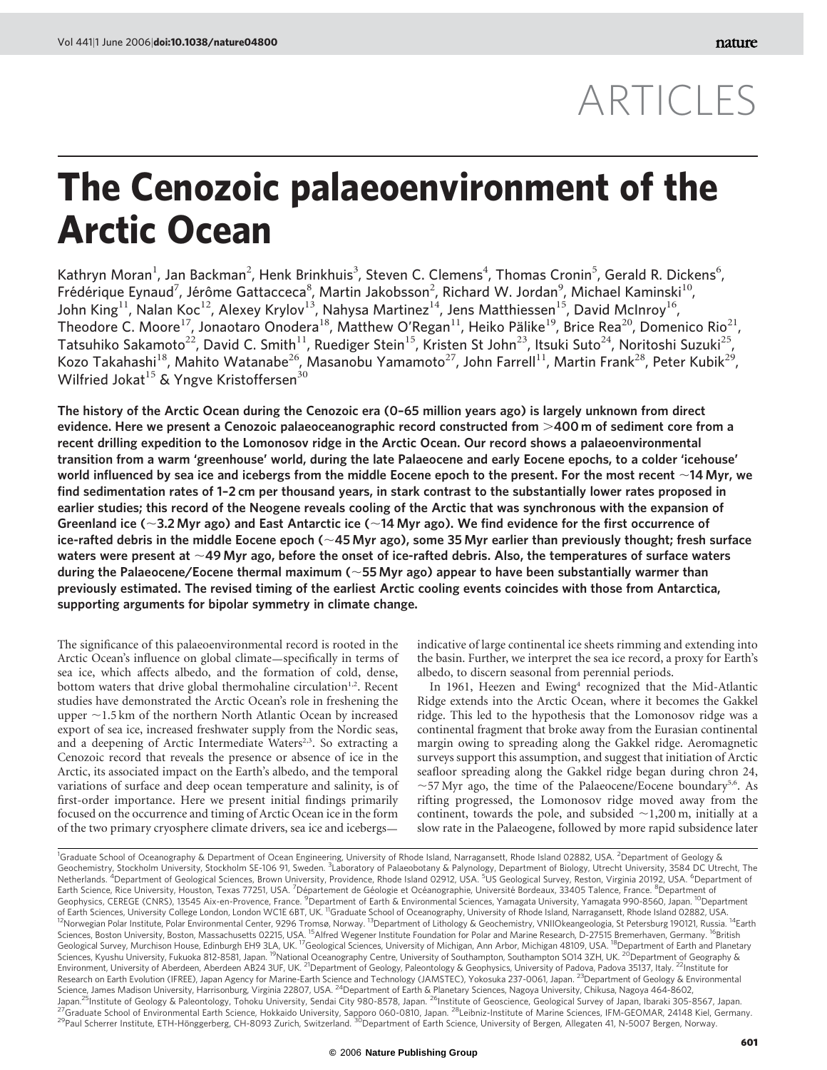# ARTICLES

# The Cenozoic palaeoenvironment of the Arctic Ocean

Kathryn Moran<sup>1</sup>, Jan Backman<sup>2</sup>, Henk Brinkhuis<sup>3</sup>, Steven C. Clemens<sup>4</sup>, Thomas Cronin<sup>5</sup>, Gerald R. Dickens<sup>6</sup>, Frédérique Eynaud<sup>7</sup>, Jérôme Gattacceca $^8$ , Martin Jakobsson<sup>2</sup>, Richard W. Jordan $^9$ , Michael Kaminski $^{10}$ , John King<sup>11</sup>, Nalan Koc<sup>12</sup>, Alexey Krylov<sup>13</sup>, Nahysa Martinez<sup>14</sup>, Jens Matthiessen<sup>15</sup>, David McInroy<sup>16</sup>, Theodore C. Moore<sup>17</sup>, Jonaotaro Onodera<sup>18</sup>, Matthew O'Regan<sup>11</sup>, Heiko Pälike<sup>19</sup>, Brice Rea<sup>20</sup>, Domenico Rio<sup>21</sup>, Tatsuhiko Sakamoto<sup>22</sup>, David C. Smith<sup>11</sup>, Ruediger Stein<sup>15</sup>, Kristen St John<sup>23</sup>, Itsuki Suto<sup>24</sup>, Noritoshi Suzuki<sup>25</sup>, Kozo Takahashi<sup>18</sup>, Mahito Watanabe<sup>26</sup>, Masanobu Yamamoto<sup>27</sup>, John Farrell<sup>11</sup>, Martin Frank<sup>28</sup>, Peter Kubik<sup>29</sup>, Wilfried Jokat<sup>15</sup> & Yngve Kristoffersen<sup>30</sup>

The history of the Arctic Ocean during the Cenozoic era (0–65 million years ago) is largely unknown from direct evidence. Here we present a Cenozoic palaeoceanographic record constructed from  $>\!400$  m of sediment core from a recent drilling expedition to the Lomonosov ridge in the Arctic Ocean. Our record shows a palaeoenvironmental transition from a warm 'greenhouse' world, during the late Palaeocene and early Eocene epochs, to a colder 'icehouse' world influenced by sea ice and icebergs from the middle Eocene epoch to the present. For the most recent  $\sim$ 14 Myr, we find sedimentation rates of 1–2 cm per thousand years, in stark contrast to the substantially lower rates proposed in earlier studies; this record of the Neogene reveals cooling of the Arctic that was synchronous with the expansion of Greenland ice ( $\sim$ 3.2 Myr ago) and East Antarctic ice ( $\sim$ 14 Myr ago). We find evidence for the first occurrence of ice-rafted debris in the middle Eocene epoch ( $\sim$ 45 Myr ago), some 35 Myr earlier than previously thought; fresh surface waters were present at  $\sim$ 49 Myr ago, before the onset of ice-rafted debris. Also, the temperatures of surface waters during the Palaeocene/Eocene thermal maximum ( $\sim$ 55 Myr ago) appear to have been substantially warmer than previously estimated. The revised timing of the earliest Arctic cooling events coincides with those from Antarctica, supporting arguments for bipolar symmetry in climate change.

The significance of this palaeoenvironmental record is rooted in the Arctic Ocean's influence on global climate—specifically in terms of sea ice, which affects albedo, and the formation of cold, dense, bottom waters that drive global thermohaline circulation<sup>1,2</sup>. Recent studies have demonstrated the Arctic Ocean's role in freshening the upper  $\sim$ 1.5 km of the northern North Atlantic Ocean by increased export of sea ice, increased freshwater supply from the Nordic seas, and a deepening of Arctic Intermediate Waters $2,3$ . So extracting a Cenozoic record that reveals the presence or absence of ice in the Arctic, its associated impact on the Earth's albedo, and the temporal variations of surface and deep ocean temperature and salinity, is of first-order importance. Here we present initial findings primarily focused on the occurrence and timing of Arctic Ocean ice in the form of the two primary cryosphere climate drivers, sea ice and icebergsindicative of large continental ice sheets rimming and extending into the basin. Further, we interpret the sea ice record, a proxy for Earth's albedo, to discern seasonal from perennial periods.

In 1961, Heezen and Ewing<sup>4</sup> recognized that the Mid-Atlantic Ridge extends into the Arctic Ocean, where it becomes the Gakkel ridge. This led to the hypothesis that the Lomonosov ridge was a continental fragment that broke away from the Eurasian continental margin owing to spreading along the Gakkel ridge. Aeromagnetic surveys support this assumption, and suggest that initiation of Arctic seafloor spreading along the Gakkel ridge began during chron 24,  $\sim$ 57 Myr ago, the time of the Palaeocene/Eocene boundary<sup>5,6</sup>. As rifting progressed, the Lomonosov ridge moved away from the continent, towards the pole, and subsided  $\sim$ 1,200 m, initially at a slow rate in the Palaeogene, followed by more rapid subsidence later

<sup>&</sup>lt;sup>1</sup>Graduate School of Oceanography & Department of Ocean Engineering, University of Rhode Island, Narragansett, Rhode Island 02882, USA. <sup>2</sup>Department of Geology & Geochemistry, Stockholm University, Stockholm SE-106 91, Sweden. <sup>3</sup>Laboratory of Palaeobotany & Palynology, Department of Biology, Utrecht University, 3584 DC Utrecht, The Netherlands. <sup>4</sup>Department of Geological Sciences, Brown University, Providence, Rhode Island 02912, USA. <sup>5</sup>US Geological Survey, Reston, Virginia 20192, USA. <sup>6</sup>Department of Earth Science, Rice University, Houston, Texas 77251, USA. <sup>7</sup>Département de Géologie et Océanographie, Université Bordeaux, 33405 Talence, France. <sup>8</sup>Department of Geophysics, CEREGE (CNRS), 13545 Aix-en-Provence, France. <sup>9</sup>Department of Earth & Environmental Sciences, Yamagata University, Yamagata 990-8560, Japan. <sup>10</sup>Department of Earth Sciences, University College London, London WC1E 6BT, UK. <sup>11</sup>Graduate School of Oceanography, University of Rhode Island, Narragansett, Rhode Island 02882, USA.<br><sup>12</sup>Norwegian Polar Institute, Polar Environmental Sciences, Boston University, Boston, Massachusetts 02215, USA. <sup>15</sup>Alfred Wegener Institute Foundation for Polar and Marine Research, D-27515 Bremerhaven, Germany. <sup>16</sup>British Geological Survey, Murchison House, Edinburgh EH9 3LA, UK. <sup>17</sup>Geological Sciences, University of Michigan, Ann Arbor, Michigan 48109, USA. <sup>18</sup>Department of Earth and Planetary Sciences, Kyushu University, Fukuoka 812-8581, Japan. <sup>19</sup>National Oceanography Centre, University of Southampton, Southampton SO14 3ZH, UK. <sup>20</sup>Department of Geography & Environment, University of Aberdeen, Aberdeen AB24 3UF, UK. <sup>21</sup>Department of Geology, Paleontology & Geophysics, University of Padova, Padova 35137, Italy. <sup>22</sup>Institute for Research on Earth Evolution (IFREE), Japan Agency for Marine-Earth Science and Technology (JAMSTEC), Yokosuka 237-0061, Japan. <sup>23</sup>Department of Geology & Environmental Science, James Madison University, Harrisonburg, Virginia 22807, USA. <sup>24</sup>Department of Earth & Planetary Sciences, Nagoya University, Chikusa, Nagoya 464-8602, Japan.<sup>25</sup>Institute of Geology & Paleontology, Tohoku University, Sendai City 980-8578, Japan. <sup>26</sup>Institute of Geoscience, Geological Survey of Japan, Ibaraki 305-8567, Japan.<br><sup>27</sup>Graduate School of Environmental Earth Sc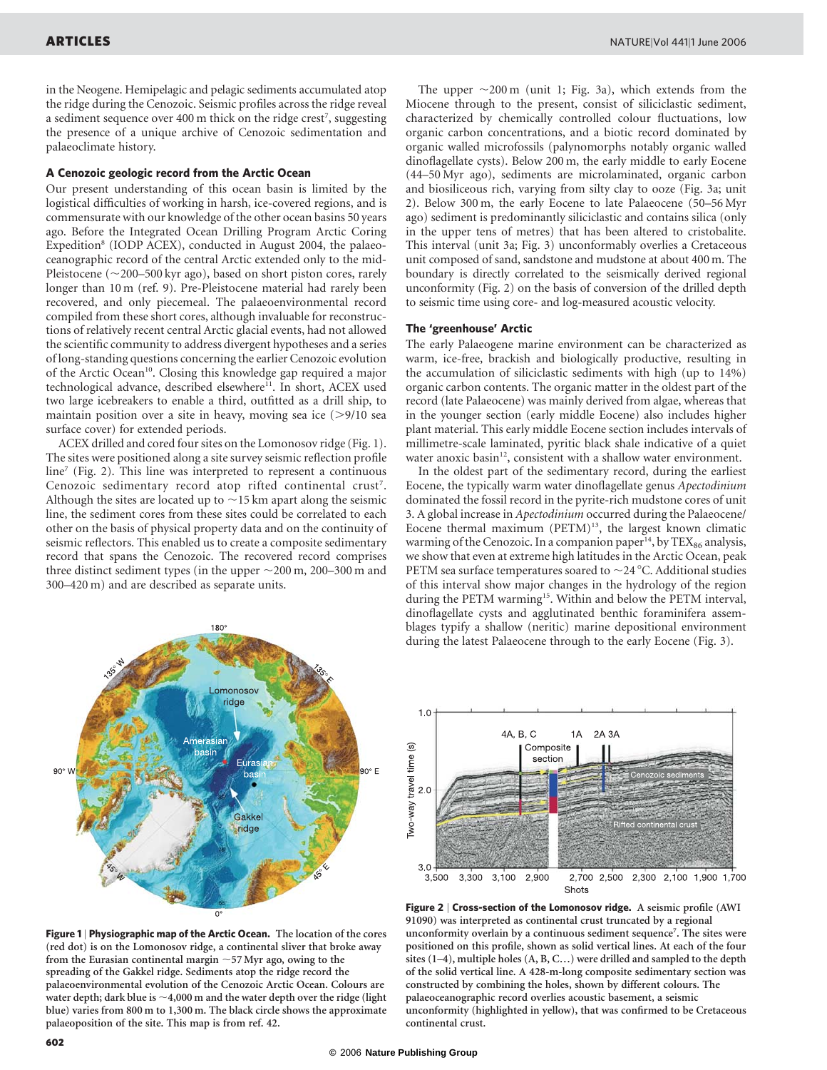in the Neogene. Hemipelagic and pelagic sediments accumulated atop the ridge during the Cenozoic. Seismic profiles across the ridge reveal a sediment sequence over 400 m thick on the ridge crest<sup>7</sup>, suggesting the presence of a unique archive of Cenozoic sedimentation and palaeoclimate history.

### A Cenozoic geologic record from the Arctic Ocean

Our present understanding of this ocean basin is limited by the logistical difficulties of working in harsh, ice-covered regions, and is commensurate with our knowledge of the other ocean basins 50 years ago. Before the Integrated Ocean Drilling Program Arctic Coring Expedition<sup>8</sup> (IODP ACEX), conducted in August 2004, the palaeoceanographic record of the central Arctic extended only to the mid-Pleistocene ( $\sim$ 200–500 kyr ago), based on short piston cores, rarely longer than 10 m (ref. 9). Pre-Pleistocene material had rarely been recovered, and only piecemeal. The palaeoenvironmental record compiled from these short cores, although invaluable for reconstructions of relatively recent central Arctic glacial events, had not allowed the scientific community to address divergent hypotheses and a series of long-standing questions concerning the earlier Cenozoic evolution of the Arctic Ocean<sup>10</sup>. Closing this knowledge gap required a major technological advance, described elsewhere<sup>11</sup>. In short, ACEX used two large icebreakers to enable a third, outfitted as a drill ship, to maintain position over a site in heavy, moving sea ice  $(>\frac{9}{10}$  sea surface cover) for extended periods.

ACEX drilled and cored four sites on the Lomonosov ridge (Fig. 1). The sites were positioned along a site survey seismic reflection profile line<sup>7</sup> (Fig. 2). This line was interpreted to represent a continuous Cenozoic sedimentary record atop rifted continental crust<sup>7</sup>. Although the sites are located up to  $\sim$ 15 km apart along the seismic line, the sediment cores from these sites could be correlated to each other on the basis of physical property data and on the continuity of seismic reflectors. This enabled us to create a composite sedimentary record that spans the Cenozoic. The recovered record comprises three distinct sediment types (in the upper  $\sim$  200 m, 200–300 m and 300–420 m) and are described as separate units.

The upper  $\sim$ 200 m (unit 1; Fig. 3a), which extends from the Miocene through to the present, consist of siliciclastic sediment, characterized by chemically controlled colour fluctuations, low organic carbon concentrations, and a biotic record dominated by organic walled microfossils (palynomorphs notably organic walled dinoflagellate cysts). Below 200 m, the early middle to early Eocene (44–50 Myr ago), sediments are microlaminated, organic carbon and biosiliceous rich, varying from silty clay to ooze (Fig. 3a; unit 2). Below 300 m, the early Eocene to late Palaeocene (50–56 Myr ago) sediment is predominantly siliciclastic and contains silica (only in the upper tens of metres) that has been altered to cristobalite. This interval (unit 3a; Fig. 3) unconformably overlies a Cretaceous unit composed of sand, sandstone and mudstone at about 400 m. The boundary is directly correlated to the seismically derived regional unconformity (Fig. 2) on the basis of conversion of the drilled depth to seismic time using core- and log-measured acoustic velocity.

## The 'greenhouse' Arctic

The early Palaeogene marine environment can be characterized as warm, ice-free, brackish and biologically productive, resulting in the accumulation of siliciclastic sediments with high (up to 14%) organic carbon contents. The organic matter in the oldest part of the record (late Palaeocene) was mainly derived from algae, whereas that in the younger section (early middle Eocene) also includes higher plant material. This early middle Eocene section includes intervals of millimetre-scale laminated, pyritic black shale indicative of a quiet water anoxic basin<sup>12</sup>, consistent with a shallow water environment.

In the oldest part of the sedimentary record, during the earliest Eocene, the typically warm water dinoflagellate genus Apectodinium dominated the fossil record in the pyrite-rich mudstone cores of unit 3. A global increase in Apectodinium occurred during the Palaeocene/ Eocene thermal maximum (PETM)<sup>13</sup>, the largest known climatic warming of the Cenozoic. In a companion paper<sup>14</sup>, by  $\text{TEX}_{86}$  analysis, we show that even at extreme high latitudes in the Arctic Ocean, peak PETM sea surface temperatures soared to  $\sim$  24 °C. Additional studies of this interval show major changes in the hydrology of the region during the PETM warming<sup>15</sup>. Within and below the PETM interval, dinoflagellate cysts and agglutinated benthic foraminifera assemblages typify a shallow (neritic) marine depositional environment during the latest Palaeocene through to the early Eocene (Fig. 3).



Figure 1 | Physiographic map of the Arctic Ocean. The location of the cores (red dot) is on the Lomonosov ridge, a continental sliver that broke away from the Eurasian continental margin  $\sim$  57 Myr ago, owing to the spreading of the Gakkel ridge. Sediments atop the ridge record the palaeoenvironmental evolution of the Cenozoic Arctic Ocean. Colours are water depth; dark blue is  $\sim$ 4,000 m and the water depth over the ridge (light blue) varies from 800 m to 1,300 m. The black circle shows the approximate palaeoposition of the site. This map is from ref. 42.



Figure 2 | Cross-section of the Lomonosov ridge. A seismic profile (AWI 91090) was interpreted as continental crust truncated by a regional unconformity overlain by a continuous sediment sequence<sup>7</sup>. The sites were positioned on this profile, shown as solid vertical lines. At each of the four sites (1–4), multiple holes (A, B, C…) were drilled and sampled to the depth of the solid vertical line. A 428-m-long composite sedimentary section was constructed by combining the holes, shown by different colours. The palaeoceanographic record overlies acoustic basement, a seismic unconformity (highlighted in yellow), that was confirmed to be Cretaceous continental crust.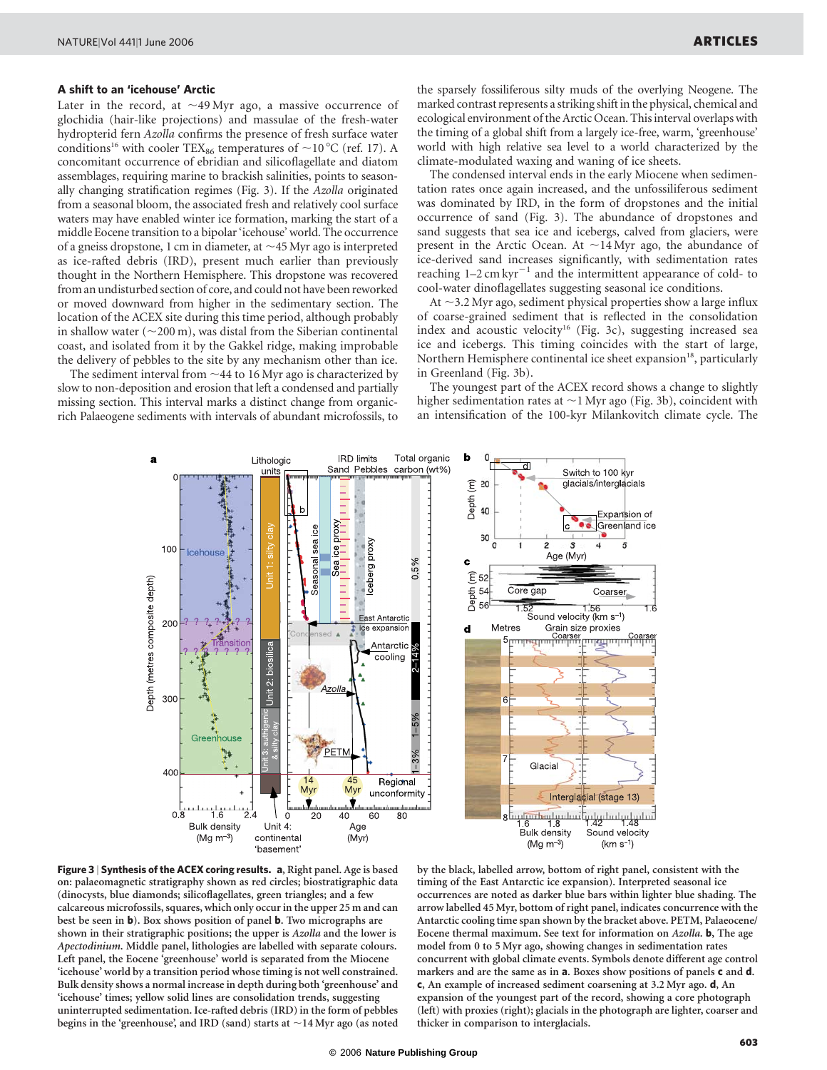# A shift to an 'icehouse' Arctic

Later in the record, at  $\sim$ 49 Myr ago, a massive occurrence of glochidia (hair-like projections) and massulae of the fresh-water hydropterid fern Azolla confirms the presence of fresh surface water conditions<sup>16</sup> with cooler TEX<sub>86</sub> temperatures of  $\sim$  10 °C (ref. 17). A concomitant occurrence of ebridian and silicoflagellate and diatom assemblages, requiring marine to brackish salinities, points to seasonally changing stratification regimes (Fig. 3). If the Azolla originated from a seasonal bloom, the associated fresh and relatively cool surface waters may have enabled winter ice formation, marking the start of a middle Eocene transition to a bipolar 'icehouse' world. The occurrence of a gneiss dropstone, 1 cm in diameter, at  $\sim$  45 Myr ago is interpreted as ice-rafted debris (IRD), present much earlier than previously thought in the Northern Hemisphere. This dropstone was recovered from an undisturbed section of core, and could not have been reworked or moved downward from higher in the sedimentary section. The location of the ACEX site during this time period, although probably in shallow water ( $\sim$ 200 m), was distal from the Siberian continental coast, and isolated from it by the Gakkel ridge, making improbable the delivery of pebbles to the site by any mechanism other than ice.

The sediment interval from  $\sim$  44 to 16 Myr ago is characterized by slow to non-deposition and erosion that left a condensed and partially missing section. This interval marks a distinct change from organicrich Palaeogene sediments with intervals of abundant microfossils, to the sparsely fossiliferous silty muds of the overlying Neogene. The marked contrast represents a striking shift in the physical, chemical and ecological environment of the Arctic Ocean. This interval overlaps with the timing of a global shift from a largely ice-free, warm, 'greenhouse' world with high relative sea level to a world characterized by the climate-modulated waxing and waning of ice sheets.

The condensed interval ends in the early Miocene when sedimentation rates once again increased, and the unfossiliferous sediment was dominated by IRD, in the form of dropstones and the initial occurrence of sand (Fig. 3). The abundance of dropstones and sand suggests that sea ice and icebergs, calved from glaciers, were present in the Arctic Ocean. At  $\sim$ 14 Myr ago, the abundance of ice-derived sand increases significantly, with sedimentation rates reaching  $1-2$  cm kyr<sup> $-1$ </sup> and the intermittent appearance of cold- to cool-water dinoflagellates suggesting seasonal ice conditions.

At  $\sim$ 3.2 Myr ago, sediment physical properties show a large influx of coarse-grained sediment that is reflected in the consolidation index and acoustic velocity<sup>16</sup> (Fig. 3c), suggesting increased sea ice and icebergs. This timing coincides with the start of large, Northern Hemisphere continental ice sheet expansion<sup>18</sup>, particularly in Greenland (Fig. 3b).

The youngest part of the ACEX record shows a change to slightly higher sedimentation rates at  $\sim$  1 Myr ago (Fig. 3b), coincident with an intensification of the 100-kyr Milankovitch climate cycle. The





by the black, labelled arrow, bottom of right panel, consistent with the timing of the East Antarctic ice expansion). Interpreted seasonal ice occurrences are noted as darker blue bars within lighter blue shading. The arrow labelled 45 Myr, bottom of right panel, indicates concurrence with the Antarctic cooling time span shown by the bracket above. PETM, Palaeocene/ Eocene thermal maximum. See text for information on Azolla. b, The age model from 0 to 5 Myr ago, showing changes in sedimentation rates concurrent with global climate events. Symbols denote different age control markers and are the same as in **a**. Boxes show positions of panels **c** and **d**. c, An example of increased sediment coarsening at 3.2 Myr ago. d, An expansion of the youngest part of the record, showing a core photograph (left) with proxies (right); glacials in the photograph are lighter, coarser and thicker in comparison to interglacials.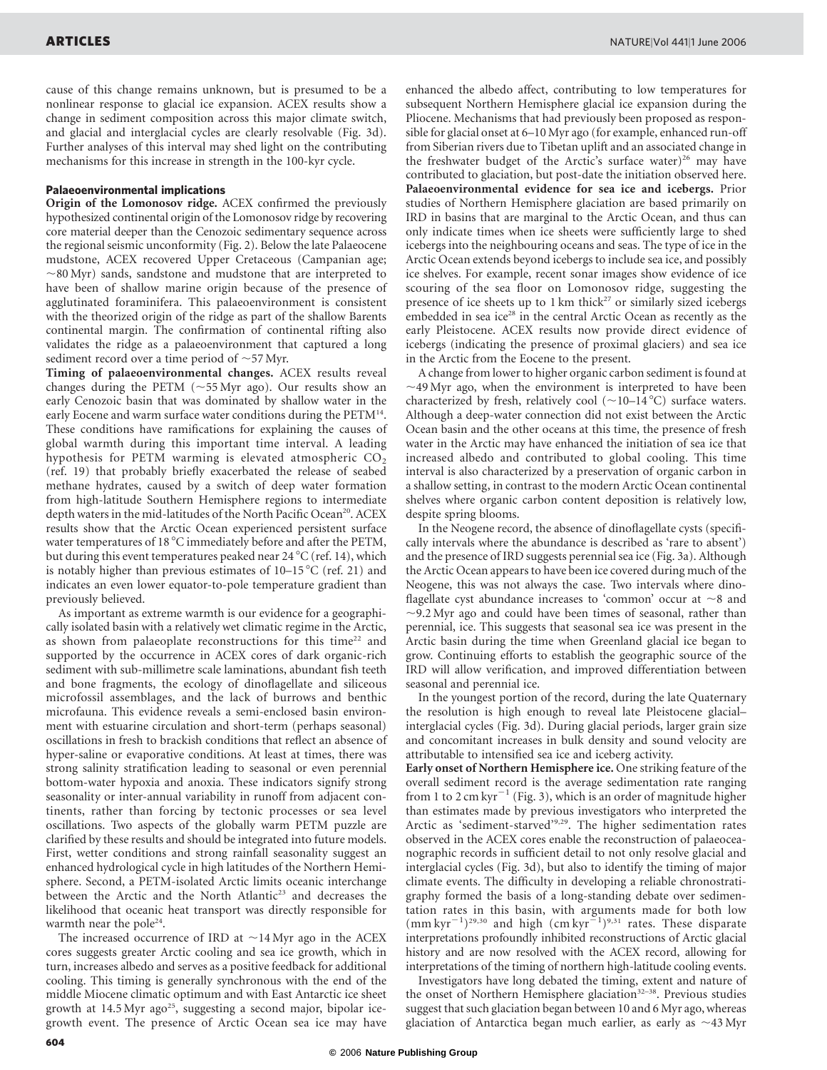cause of this change remains unknown, but is presumed to be a nonlinear response to glacial ice expansion. ACEX results show a change in sediment composition across this major climate switch, and glacial and interglacial cycles are clearly resolvable (Fig. 3d). Further analyses of this interval may shed light on the contributing mechanisms for this increase in strength in the 100-kyr cycle.

# Palaeoenvironmental implications

Origin of the Lomonosov ridge. ACEX confirmed the previously hypothesized continental origin of the Lomonosov ridge by recovering core material deeper than the Cenozoic sedimentary sequence across the regional seismic unconformity (Fig. 2). Below the late Palaeocene mudstone, ACEX recovered Upper Cretaceous (Campanian age;  $\sim$ 80 Myr) sands, sandstone and mudstone that are interpreted to have been of shallow marine origin because of the presence of agglutinated foraminifera. This palaeoenvironment is consistent with the theorized origin of the ridge as part of the shallow Barents continental margin. The confirmation of continental rifting also validates the ridge as a palaeoenvironment that captured a long sediment record over a time period of  $\sim$  57 Myr.

Timing of palaeoenvironmental changes. ACEX results reveal changes during the PETM ( $\sim$ 55 Myr ago). Our results show an early Cenozoic basin that was dominated by shallow water in the early Eocene and warm surface water conditions during the PETM<sup>14</sup>. These conditions have ramifications for explaining the causes of global warmth during this important time interval. A leading hypothesis for PETM warming is elevated atmospheric  $CO<sub>2</sub>$ (ref. 19) that probably briefly exacerbated the release of seabed methane hydrates, caused by a switch of deep water formation from high-latitude Southern Hemisphere regions to intermediate depth waters in the mid-latitudes of the North Pacific Ocean<sup>20</sup>. ACEX results show that the Arctic Ocean experienced persistent surface water temperatures of 18 °C immediately before and after the PETM, but during this event temperatures peaked near 24  $^{\circ}$ C (ref. 14), which is notably higher than previous estimates of  $10-15\degree C$  (ref. 21) and indicates an even lower equator-to-pole temperature gradient than previously believed.

As important as extreme warmth is our evidence for a geographically isolated basin with a relatively wet climatic regime in the Arctic, as shown from palaeoplate reconstructions for this time<sup>22</sup> and supported by the occurrence in ACEX cores of dark organic-rich sediment with sub-millimetre scale laminations, abundant fish teeth and bone fragments, the ecology of dinoflagellate and siliceous microfossil assemblages, and the lack of burrows and benthic microfauna. This evidence reveals a semi-enclosed basin environment with estuarine circulation and short-term (perhaps seasonal) oscillations in fresh to brackish conditions that reflect an absence of hyper-saline or evaporative conditions. At least at times, there was strong salinity stratification leading to seasonal or even perennial bottom-water hypoxia and anoxia. These indicators signify strong seasonality or inter-annual variability in runoff from adjacent continents, rather than forcing by tectonic processes or sea level oscillations. Two aspects of the globally warm PETM puzzle are clarified by these results and should be integrated into future models. First, wetter conditions and strong rainfall seasonality suggest an enhanced hydrological cycle in high latitudes of the Northern Hemisphere. Second, a PETM-isolated Arctic limits oceanic interchange between the Arctic and the North Atlantic<sup>23</sup> and decreases the likelihood that oceanic heat transport was directly responsible for warmth near the pole<sup>24</sup>.

The increased occurrence of IRD at  $\sim$ 14 Myr ago in the ACEX cores suggests greater Arctic cooling and sea ice growth, which in turn, increases albedo and serves as a positive feedback for additional cooling. This timing is generally synchronous with the end of the middle Miocene climatic optimum and with East Antarctic ice sheet growth at  $14.5 \,\mathrm{Myr}$  ago<sup>25</sup>, suggesting a second major, bipolar icegrowth event. The presence of Arctic Ocean sea ice may have

enhanced the albedo affect, contributing to low temperatures for subsequent Northern Hemisphere glacial ice expansion during the Pliocene. Mechanisms that had previously been proposed as responsible for glacial onset at 6–10 Myr ago (for example, enhanced run-off from Siberian rivers due to Tibetan uplift and an associated change in the freshwater budget of the Arctic's surface water)<sup>26</sup> may have contributed to glaciation, but post-date the initiation observed here. Palaeoenvironmental evidence for sea ice and icebergs. Prior studies of Northern Hemisphere glaciation are based primarily on IRD in basins that are marginal to the Arctic Ocean, and thus can only indicate times when ice sheets were sufficiently large to shed icebergs into the neighbouring oceans and seas. The type of ice in the Arctic Ocean extends beyond icebergs to include sea ice, and possibly ice shelves. For example, recent sonar images show evidence of ice scouring of the sea floor on Lomonosov ridge, suggesting the presence of ice sheets up to  $1 \text{ km}$  thick<sup>27</sup> or similarly sized icebergs embedded in sea ice<sup>28</sup> in the central Arctic Ocean as recently as the early Pleistocene. ACEX results now provide direct evidence of icebergs (indicating the presence of proximal glaciers) and sea ice in the Arctic from the Eocene to the present.

A change from lower to higher organic carbon sediment is found at  $\sim$ 49 Myr ago, when the environment is interpreted to have been characterized by fresh, relatively cool  $(\sim 10-14 \degree C)$  surface waters. Although a deep-water connection did not exist between the Arctic Ocean basin and the other oceans at this time, the presence of fresh water in the Arctic may have enhanced the initiation of sea ice that increased albedo and contributed to global cooling. This time interval is also characterized by a preservation of organic carbon in a shallow setting, in contrast to the modern Arctic Ocean continental shelves where organic carbon content deposition is relatively low, despite spring blooms.

In the Neogene record, the absence of dinoflagellate cysts (specifically intervals where the abundance is described as 'rare to absent') and the presence of IRD suggests perennial sea ice (Fig. 3a). Although the Arctic Ocean appears to have been ice covered during much of the Neogene, this was not always the case. Two intervals where dinoflagellate cyst abundance increases to 'common' occur at  $\sim$ 8 and  $\sim$ 9.2 Myr ago and could have been times of seasonal, rather than perennial, ice. This suggests that seasonal sea ice was present in the Arctic basin during the time when Greenland glacial ice began to grow. Continuing efforts to establish the geographic source of the IRD will allow verification, and improved differentiation between seasonal and perennial ice.

In the youngest portion of the record, during the late Quaternary the resolution is high enough to reveal late Pleistocene glacial– interglacial cycles (Fig. 3d). During glacial periods, larger grain size and concomitant increases in bulk density and sound velocity are attributable to intensified sea ice and iceberg activity.

Early onset of Northern Hemisphere ice. One striking feature of the overall sediment record is the average sedimentation rate ranging from 1 to 2 cm kyr<sup> $-1$ </sup> (Fig. 3), which is an order of magnitude higher than estimates made by previous investigators who interpreted the Arctic as 'sediment-starved'9,29. The higher sedimentation rates observed in the ACEX cores enable the reconstruction of palaeoceanographic records in sufficient detail to not only resolve glacial and interglacial cycles (Fig. 3d), but also to identify the timing of major climate events. The difficulty in developing a reliable chronostratigraphy formed the basis of a long-standing debate over sedimentation rates in this basin, with arguments made for both low  $(\text{mm kyr}^{-1})^{29,30}$  and high  $(\text{cm kyr}^{-1})^{9,31}$  rates. These disparate interpretations profoundly inhibited reconstructions of Arctic glacial history and are now resolved with the ACEX record, allowing for interpretations of the timing of northern high-latitude cooling events.

Investigators have long debated the timing, extent and nature of the onset of Northern Hemisphere glaciation<sup>32-38</sup>. Previous studies suggest that such glaciation began between 10 and 6 Myr ago, whereas glaciation of Antarctica began much earlier, as early as  $\sim$ 43 Myr